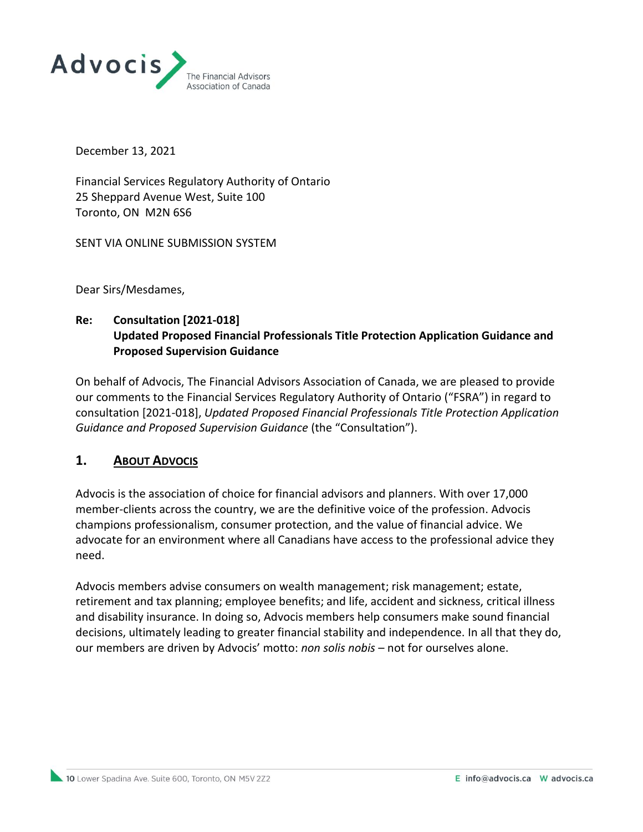

December 13, 2021

Financial Services Regulatory Authority of Ontario 25 Sheppard Avenue West, Suite 100 Toronto, ON M2N 6S6

SENT VIA ONLINE SUBMISSION SYSTEM

Dear Sirs/Mesdames,

## **Re: Consultation [2021-018] Updated Proposed Financial Professionals Title Protection Application Guidance and Proposed Supervision Guidance**

On behalf of Advocis, The Financial Advisors Association of Canada, we are pleased to provide our comments to the Financial Services Regulatory Authority of Ontario ("FSRA") in regard to consultation [2021-018], *Updated Proposed Financial Professionals Title Protection Application Guidance and Proposed Supervision Guidance* (the "Consultation").

#### **1. ABOUT ADVOCIS**

Advocis is the association of choice for financial advisors and planners. With over 17,000 member-clients across the country, we are the definitive voice of the profession. Advocis champions professionalism, consumer protection, and the value of financial advice. We advocate for an environment where all Canadians have access to the professional advice they need.

Advocis members advise consumers on wealth management; risk management; estate, retirement and tax planning; employee benefits; and life, accident and sickness, critical illness and disability insurance. In doing so, Advocis members help consumers make sound financial decisions, ultimately leading to greater financial stability and independence. In all that they do, our members are driven by Advocis' motto: *non solis nobis* – not for ourselves alone.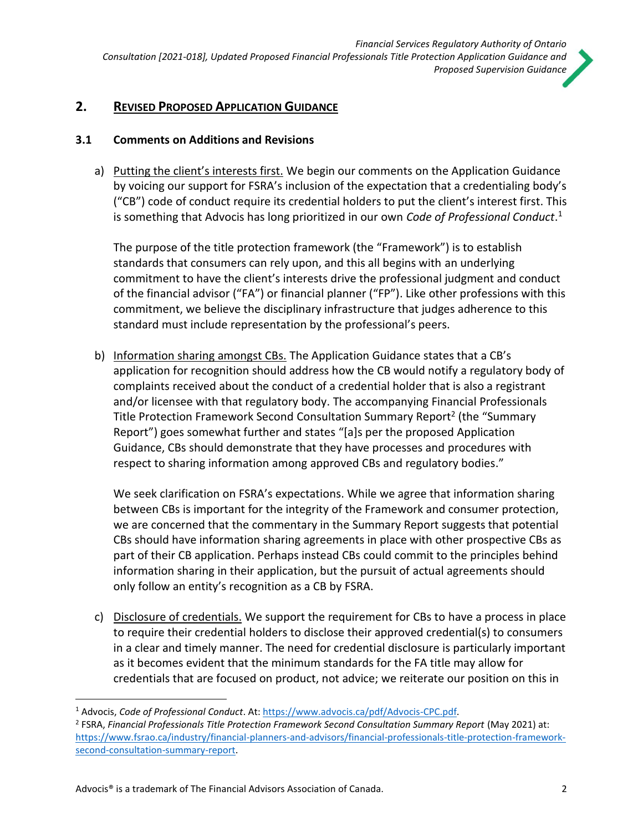# **2. REVISED PROPOSED APPLICATION GUIDANCE**

#### **3.1 Comments on Additions and Revisions**

a) Putting the client's interests first. We begin our comments on the Application Guidance by voicing our support for FSRA's inclusion of the expectation that a credentialing body's ("CB") code of conduct require its credential holders to put the client's interest first. This is something that Advocis has long prioritized in our own *Code of Professional Conduct*. 1

The purpose of the title protection framework (the "Framework") is to establish standards that consumers can rely upon, and this all begins with an underlying commitment to have the client's interests drive the professional judgment and conduct of the financial advisor ("FA") or financial planner ("FP"). Like other professions with this commitment, we believe the disciplinary infrastructure that judges adherence to this standard must include representation by the professional's peers.

b) Information sharing amongst CBs. The Application Guidance states that a CB's application for recognition should address how the CB would notify a regulatory body of complaints received about the conduct of a credential holder that is also a registrant and/or licensee with that regulatory body. The accompanying Financial Professionals Title Protection Framework Second Consultation Summary Report<sup>2</sup> (the "Summary Report") goes somewhat further and states "[a]s per the proposed Application Guidance, CBs should demonstrate that they have processes and procedures with respect to sharing information among approved CBs and regulatory bodies."

We seek clarification on FSRA's expectations. While we agree that information sharing between CBs is important for the integrity of the Framework and consumer protection, we are concerned that the commentary in the Summary Report suggests that potential CBs should have information sharing agreements in place with other prospective CBs as part of their CB application. Perhaps instead CBs could commit to the principles behind information sharing in their application, but the pursuit of actual agreements should only follow an entity's recognition as a CB by FSRA.

c) Disclosure of credentials. We support the requirement for CBs to have a process in place to require their credential holders to disclose their approved credential(s) to consumers in a clear and timely manner. The need for credential disclosure is particularly important as it becomes evident that the minimum standards for the FA title may allow for credentials that are focused on product, not advice; we reiterate our position on this in

<sup>1</sup> Advocis, *Code of Professional Conduct*. At[: https://www.advocis.ca/pdf/Advocis-CPC.pdf.](https://www.advocis.ca/pdf/Advocis-CPC.pdf)

<sup>2</sup> FSRA, *Financial Professionals Title Protection Framework Second Consultation Summary Report* (May 2021) at: [https://www.fsrao.ca/industry/financial-planners-and-advisors/financial-professionals-title-protection-framework](https://www.fsrao.ca/industry/financial-planners-and-advisors/financial-professionals-title-protection-framework-second-consultation-summary-report)[second-consultation-summary-report.](https://www.fsrao.ca/industry/financial-planners-and-advisors/financial-professionals-title-protection-framework-second-consultation-summary-report)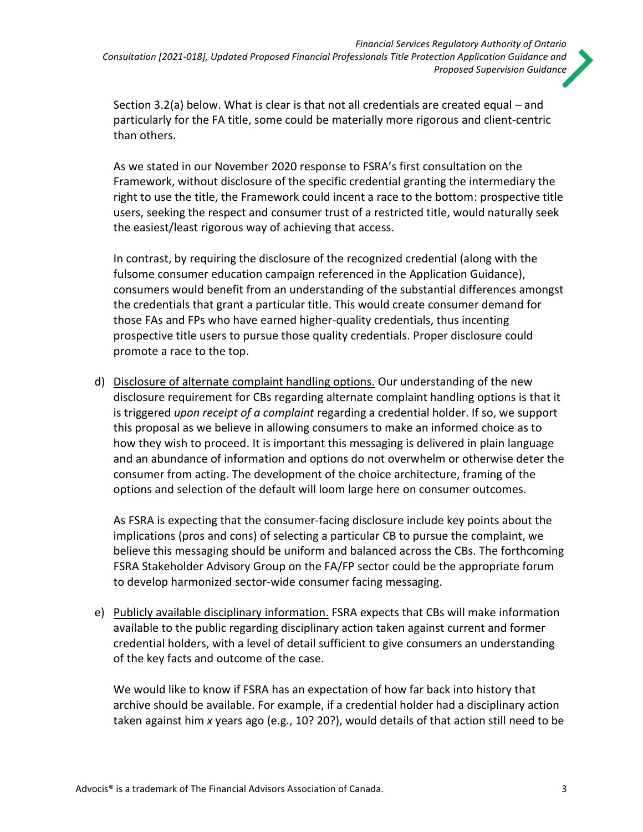

Section 3.2(a) below. What is clear is that not all credentials are created equal – and particularly for the FA title, some could be materially more rigorous and client-centric than others.

As we stated in our November 2020 response to FSRA's first consultation on the Framework, without disclosure of the specific credential granting the intermediary the right to use the title, the Framework could incent a race to the bottom: prospective title users, seeking the respect and consumer trust of a restricted title, would naturally seek the easiest/least rigorous way of achieving that access.

In contrast, by requiring the disclosure of the recognized credential (along with the fulsome consumer education campaign referenced in the Application Guidance), consumers would benefit from an understanding of the substantial differences amongst the credentials that grant a particular title. This would create consumer demand for those FAs and FPs who have earned higher-quality credentials, thus incenting prospective title users to pursue those quality credentials. Proper disclosure could promote a race to the top.

d) Disclosure of alternate complaint handling options. Our understanding of the new disclosure requirement for CBs regarding alternate complaint handling options is that it is triggered *upon receipt of a complaint* regarding a credential holder. If so, we support this proposal as we believe in allowing consumers to make an informed choice as to how they wish to proceed. It is important this messaging is delivered in plain language and an abundance of information and options do not overwhelm or otherwise deter the consumer from acting. The development of the choice architecture, framing of the options and selection of the default will loom large here on consumer outcomes.

As FSRA is expecting that the consumer-facing disclosure include key points about the implications (pros and cons) of selecting a particular CB to pursue the complaint, we believe this messaging should be uniform and balanced across the CBs. The forthcoming FSRA Stakeholder Advisory Group on the FA/FP sector could be the appropriate forum to develop harmonized sector-wide consumer facing messaging.

e) Publicly available disciplinary information. FSRA expects that CBs will make information available to the public regarding disciplinary action taken against current and former credential holders, with a level of detail sufficient to give consumers an understanding of the key facts and outcome of the case.

We would like to know if FSRA has an expectation of how far back into history that archive should be available. For example, if a credential holder had a disciplinary action taken against him *x* years ago (e.g., 10? 20?), would details of that action still need to be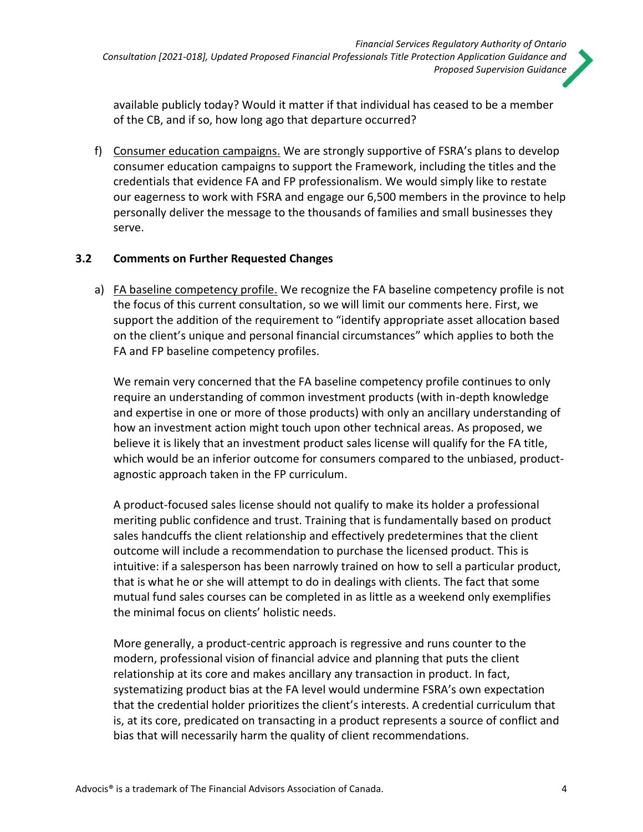available publicly today? Would it matter if that individual has ceased to be a member of the CB, and if so, how long ago that departure occurred?

f) Consumer education campaigns. We are strongly supportive of FSRA's plans to develop consumer education campaigns to support the Framework, including the titles and the credentials that evidence FA and FP professionalism. We would simply like to restate our eagerness to work with FSRA and engage our 6,500 members in the province to help personally deliver the message to the thousands of families and small businesses they serve.

## **3.2 Comments on Further Requested Changes**

a) FA baseline competency profile. We recognize the FA baseline competency profile is not the focus of this current consultation, so we will limit our comments here. First, we support the addition of the requirement to "identify appropriate asset allocation based on the client's unique and personal financial circumstances" which applies to both the FA and FP baseline competency profiles.

We remain very concerned that the FA baseline competency profile continues to only require an understanding of common investment products (with in-depth knowledge and expertise in one or more of those products) with only an ancillary understanding of how an investment action might touch upon other technical areas. As proposed, we believe it is likely that an investment product sales license will qualify for the FA title, which would be an inferior outcome for consumers compared to the unbiased, productagnostic approach taken in the FP curriculum.

A product-focused sales license should not qualify to make its holder a professional meriting public confidence and trust. Training that is fundamentally based on product sales handcuffs the client relationship and effectively predetermines that the client outcome will include a recommendation to purchase the licensed product. This is intuitive: if a salesperson has been narrowly trained on how to sell a particular product, that is what he or she will attempt to do in dealings with clients. The fact that some mutual fund sales courses can be completed in as little as a weekend only exemplifies the minimal focus on clients' holistic needs.

More generally, a product-centric approach is regressive and runs counter to the modern, professional vision of financial advice and planning that puts the client relationship at its core and makes ancillary any transaction in product. In fact, systematizing product bias at the FA level would undermine FSRA's own expectation that the credential holder prioritizes the client's interests. A credential curriculum that is, at its core, predicated on transacting in a product represents a source of conflict and bias that will necessarily harm the quality of client recommendations.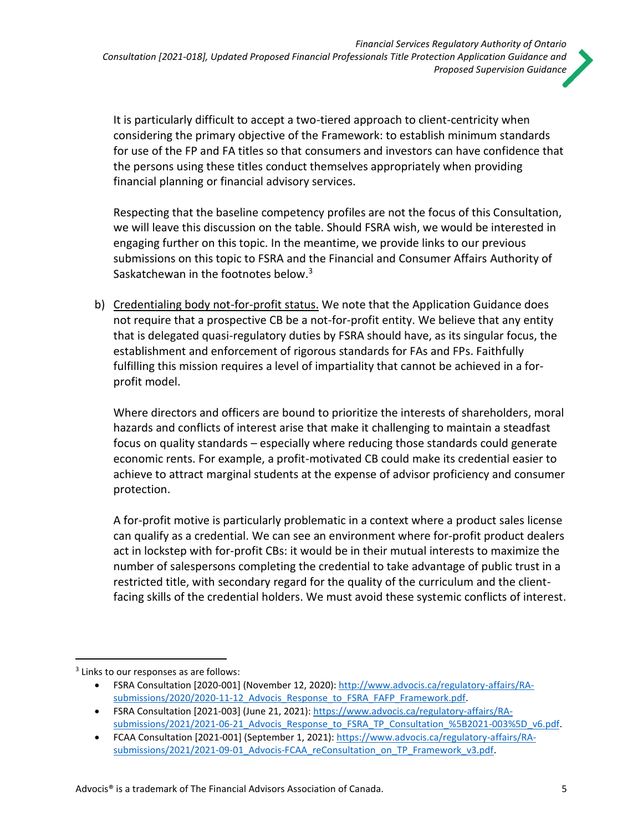

It is particularly difficult to accept a two-tiered approach to client-centricity when considering the primary objective of the Framework: to establish minimum standards for use of the FP and FA titles so that consumers and investors can have confidence that the persons using these titles conduct themselves appropriately when providing financial planning or financial advisory services.

Respecting that the baseline competency profiles are not the focus of this Consultation, we will leave this discussion on the table. Should FSRA wish, we would be interested in engaging further on this topic. In the meantime, we provide links to our previous submissions on this topic to FSRA and the Financial and Consumer Affairs Authority of Saskatchewan in the footnotes below. $3$ 

b) Credentialing body not-for-profit status. We note that the Application Guidance does not require that a prospective CB be a not-for-profit entity. We believe that any entity that is delegated quasi-regulatory duties by FSRA should have, as its singular focus, the establishment and enforcement of rigorous standards for FAs and FPs. Faithfully fulfilling this mission requires a level of impartiality that cannot be achieved in a forprofit model.

Where directors and officers are bound to prioritize the interests of shareholders, moral hazards and conflicts of interest arise that make it challenging to maintain a steadfast focus on quality standards – especially where reducing those standards could generate economic rents. For example, a profit-motivated CB could make its credential easier to achieve to attract marginal students at the expense of advisor proficiency and consumer protection.

A for-profit motive is particularly problematic in a context where a product sales license can qualify as a credential. We can see an environment where for-profit product dealers act in lockstep with for-profit CBs: it would be in their mutual interests to maximize the number of salespersons completing the credential to take advantage of public trust in a restricted title, with secondary regard for the quality of the curriculum and the clientfacing skills of the credential holders. We must avoid these systemic conflicts of interest.

<sup>&</sup>lt;sup>3</sup> Links to our responses as are follows:

<sup>•</sup> FSRA Consultation [2020-001] (November 12, 2020): [http://www.advocis.ca/regulatory-affairs/RA](http://www.advocis.ca/regulatory-affairs/RA-submissions/2020/2020-11-12_Advocis_Response_to_FSRA_FAFP_Framework.pdf)submissions/2020/2020-11-12 Advocis\_Response\_to\_FSRA\_FAFP\_Framework.pdf.

<sup>•</sup> FSRA Consultation [2021-003] (June 21, 2021)[: https://www.advocis.ca/regulatory-affairs/RA](https://www.advocis.ca/regulatory-affairs/RA-submissions/2021/2021-06-21_Advocis_Response_to_FSRA_TP_Consultation_%5B2021-003%5D_v6.pdf)[submissions/2021/2021-06-21\\_Advocis\\_Response\\_to\\_FSRA\\_TP\\_Consultation\\_%5B2021-003%5D\\_v6.pdf.](https://www.advocis.ca/regulatory-affairs/RA-submissions/2021/2021-06-21_Advocis_Response_to_FSRA_TP_Consultation_%5B2021-003%5D_v6.pdf)

<sup>•</sup> FCAA Consultation [2021-001] (September 1, 2021): [https://www.advocis.ca/regulatory-affairs/RA](https://www.advocis.ca/regulatory-affairs/RA-submissions/2021/2021-09-01_Advocis-FCAA_reConsultation_on_TP_Framework_v3.pdf)submissions/2021/2021-09-01 Advocis-FCAA reConsultation on TP Framework v3.pdf.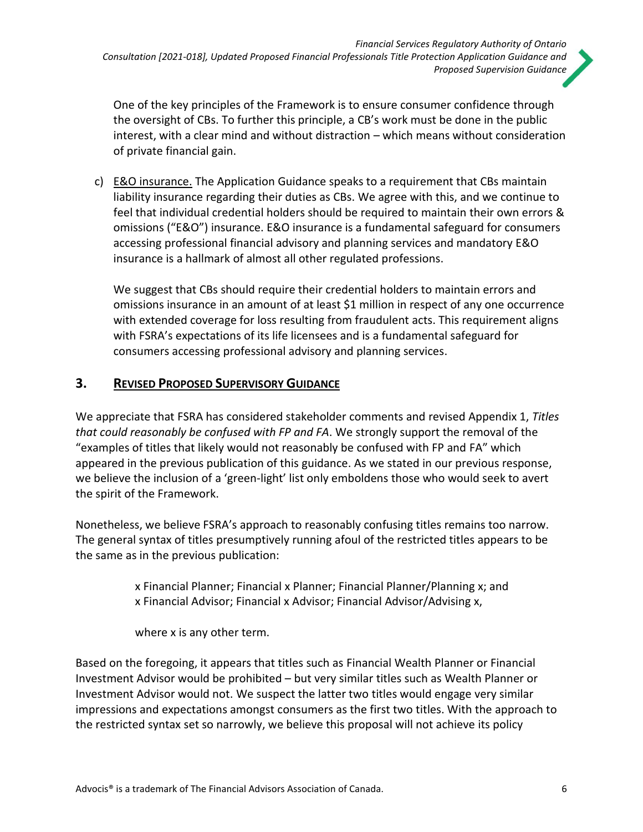

One of the key principles of the Framework is to ensure consumer confidence through the oversight of CBs. To further this principle, a CB's work must be done in the public interest, with a clear mind and without distraction – which means without consideration of private financial gain.

c) E&O insurance. The Application Guidance speaks to a requirement that CBs maintain liability insurance regarding their duties as CBs. We agree with this, and we continue to feel that individual credential holders should be required to maintain their own errors & omissions ("E&O") insurance. E&O insurance is a fundamental safeguard for consumers accessing professional financial advisory and planning services and mandatory E&O insurance is a hallmark of almost all other regulated professions.

We suggest that CBs should require their credential holders to maintain errors and omissions insurance in an amount of at least \$1 million in respect of any one occurrence with extended coverage for loss resulting from fraudulent acts. This requirement aligns with FSRA's expectations of its life licensees and is a fundamental safeguard for consumers accessing professional advisory and planning services.

# **3. REVISED PROPOSED SUPERVISORY GUIDANCE**

We appreciate that FSRA has considered stakeholder comments and revised Appendix 1, *Titles that could reasonably be confused with FP and FA*. We strongly support the removal of the "examples of titles that likely would not reasonably be confused with FP and FA" which appeared in the previous publication of this guidance. As we stated in our previous response, we believe the inclusion of a 'green-light' list only emboldens those who would seek to avert the spirit of the Framework.

Nonetheless, we believe FSRA's approach to reasonably confusing titles remains too narrow. The general syntax of titles presumptively running afoul of the restricted titles appears to be the same as in the previous publication:

> x Financial Planner; Financial x Planner; Financial Planner/Planning x; and x Financial Advisor; Financial x Advisor; Financial Advisor/Advising x,

where x is any other term.

Based on the foregoing, it appears that titles such as Financial Wealth Planner or Financial Investment Advisor would be prohibited – but very similar titles such as Wealth Planner or Investment Advisor would not. We suspect the latter two titles would engage very similar impressions and expectations amongst consumers as the first two titles. With the approach to the restricted syntax set so narrowly, we believe this proposal will not achieve its policy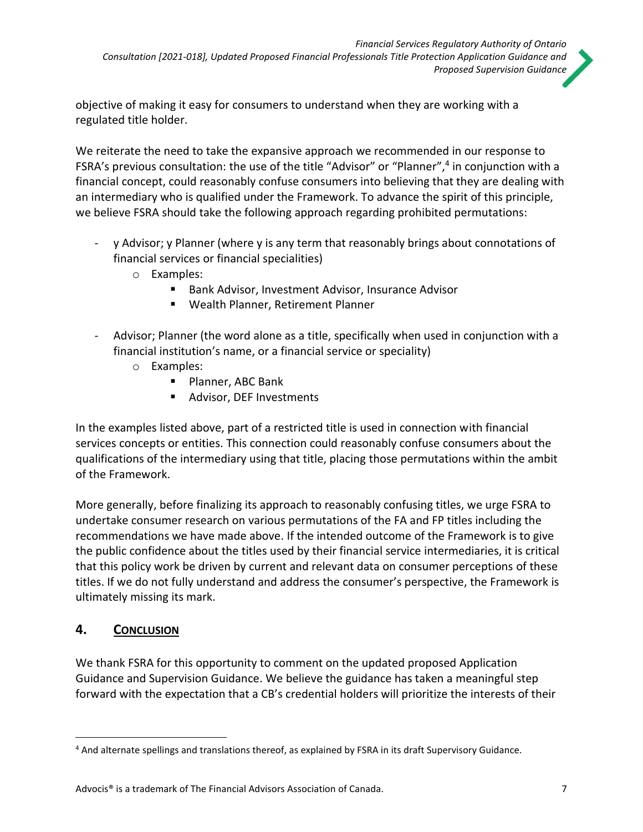objective of making it easy for consumers to understand when they are working with a regulated title holder.

We reiterate the need to take the expansive approach we recommended in our response to FSRA's previous consultation: the use of the title "Advisor" or "Planner",<sup>4</sup> in conjunction with a financial concept, could reasonably confuse consumers into believing that they are dealing with an intermediary who is qualified under the Framework. To advance the spirit of this principle, we believe FSRA should take the following approach regarding prohibited permutations:

- y Advisor; y Planner (where y is any term that reasonably brings about connotations of financial services or financial specialities)
	- o Examples:
		- Bank Advisor, Investment Advisor, Insurance Advisor
		- Wealth Planner, Retirement Planner
- Advisor; Planner (the word alone as a title, specifically when used in conjunction with a financial institution's name, or a financial service or speciality)
	- o Examples:
		- Planner, ABC Bank
		- Advisor, DEF Investments

In the examples listed above, part of a restricted title is used in connection with financial services concepts or entities. This connection could reasonably confuse consumers about the qualifications of the intermediary using that title, placing those permutations within the ambit of the Framework.

More generally, before finalizing its approach to reasonably confusing titles, we urge FSRA to undertake consumer research on various permutations of the FA and FP titles including the recommendations we have made above. If the intended outcome of the Framework is to give the public confidence about the titles used by their financial service intermediaries, it is critical that this policy work be driven by current and relevant data on consumer perceptions of these titles. If we do not fully understand and address the consumer's perspective, the Framework is ultimately missing its mark.

# **4. CONCLUSION**

We thank FSRA for this opportunity to comment on the updated proposed Application Guidance and Supervision Guidance. We believe the guidance has taken a meaningful step forward with the expectation that a CB's credential holders will prioritize the interests of their

<sup>4</sup> And alternate spellings and translations thereof, as explained by FSRA in its draft Supervisory Guidance.